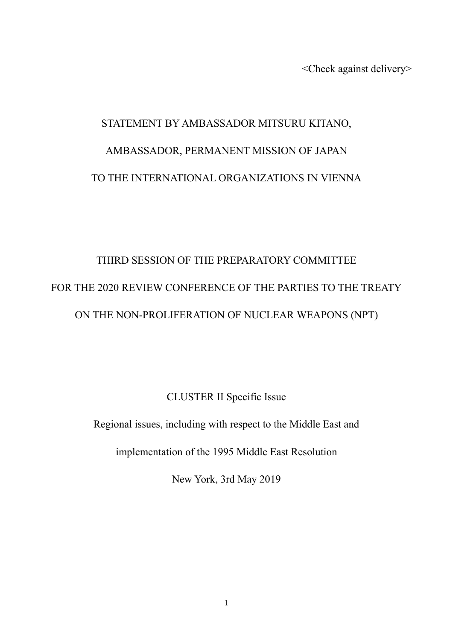<Check against delivery>

## STATEMENT BY AMBASSADOR MITSURU KITANO, AMBASSADOR, PERMANENT MISSION OF JAPAN TO THE INTERNATIONAL ORGANIZATIONS IN VIENNA

## THIRD SESSION OF THE PREPARATORY COMMITTEE FOR THE 2020 REVIEW CONFERENCE OF THE PARTIES TO THE TREATY ON THE NON-PROLIFERATION OF NUCLEAR WEAPONS (NPT)

CLUSTER II Specific Issue

Regional issues, including with respect to the Middle East and

implementation of the 1995 Middle East Resolution

New York, 3rd May 2019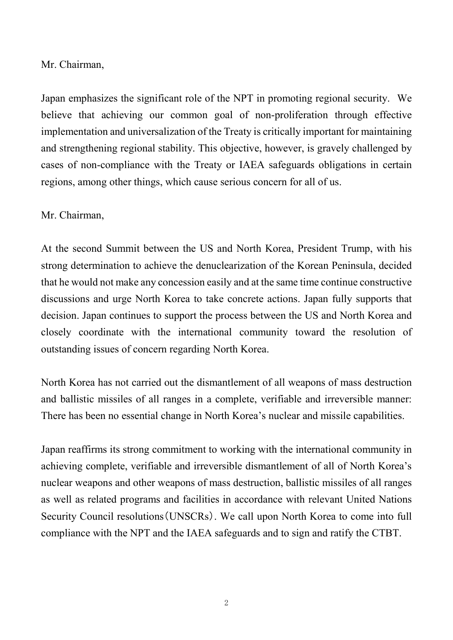Mr. Chairman,

Japan emphasizes the significant role of the NPT in promoting regional security. We believe that achieving our common goal of non-proliferation through effective implementation and universalization of the Treaty is critically important for maintaining and strengthening regional stability. This objective, however, is gravely challenged by cases of non-compliance with the Treaty or IAEA safeguards obligations in certain regions, among other things, which cause serious concern for all of us.

## Mr. Chairman,

At the second Summit between the US and North Korea, President Trump, with his strong determination to achieve the denuclearization of the Korean Peninsula, decided that he would not make any concession easily and at the same time continue constructive discussions and urge North Korea to take concrete actions. Japan fully supports that decision. Japan continues to support the process between the US and North Korea and closely coordinate with the international community toward the resolution of outstanding issues of concern regarding North Korea.

North Korea has not carried out the dismantlement of all weapons of mass destruction and ballistic missiles of all ranges in a complete, verifiable and irreversible manner: There has been no essential change in North Korea's nuclear and missile capabilities.

Japan reaffirms its strong commitment to working with the international community in achieving complete, verifiable and irreversible dismantlement of all of North Korea's nuclear weapons and other weapons of mass destruction, ballistic missiles of all ranges as well as related programs and facilities in accordance with relevant United Nations Security Council resolutions(UNSCRs). We call upon North Korea to come into full compliance with the NPT and the IAEA safeguards and to sign and ratify the CTBT.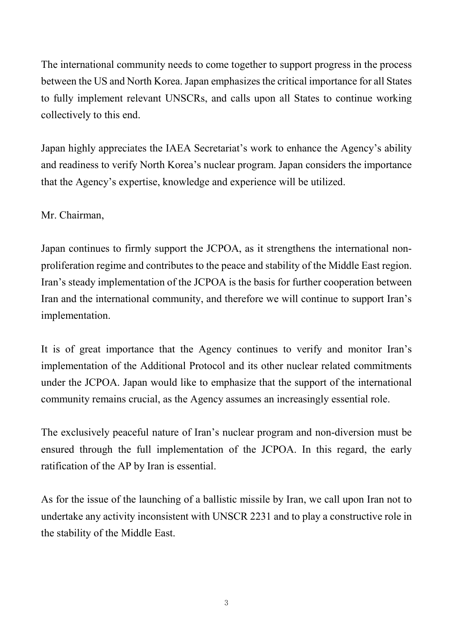The international community needs to come together to support progress in the process between the US and North Korea. Japan emphasizes the critical importance for all States to fully implement relevant UNSCRs, and calls upon all States to continue working collectively to this end.

Japan highly appreciates the IAEA Secretariat's work to enhance the Agency's ability and readiness to verify North Korea's nuclear program. Japan considers the importance that the Agency's expertise, knowledge and experience will be utilized.

Mr. Chairman,

Japan continues to firmly support the JCPOA, as it strengthens the international nonproliferation regime and contributes to the peace and stability of the Middle East region. Iran's steady implementation of the JCPOA is the basis for further cooperation between Iran and the international community, and therefore we will continue to support Iran's implementation.

It is of great importance that the Agency continues to verify and monitor Iran's implementation of the Additional Protocol and its other nuclear related commitments under the JCPOA. Japan would like to emphasize that the support of the international community remains crucial, as the Agency assumes an increasingly essential role.

The exclusively peaceful nature of Iran's nuclear program and non-diversion must be ensured through the full implementation of the JCPOA. In this regard, the early ratification of the AP by Iran is essential.

As for the issue of the launching of a ballistic missile by Iran, we call upon Iran not to undertake any activity inconsistent with UNSCR 2231 and to play a constructive role in the stability of the Middle East.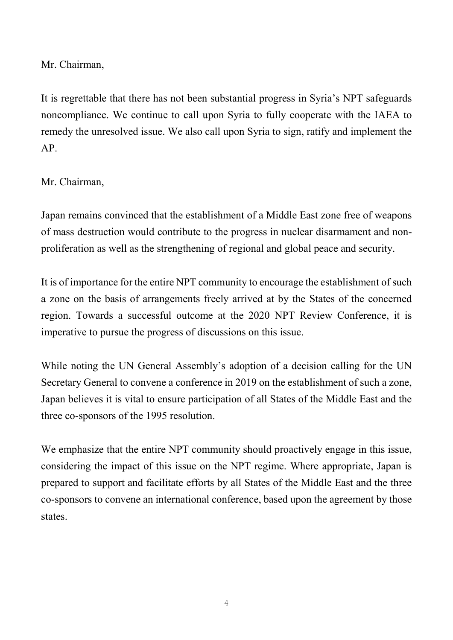Mr. Chairman,

It is regrettable that there has not been substantial progress in Syria's NPT safeguards noncompliance. We continue to call upon Syria to fully cooperate with the IAEA to remedy the unresolved issue. We also call upon Syria to sign, ratify and implement the AP.

Mr. Chairman,

Japan remains convinced that the establishment of a Middle East zone free of weapons of mass destruction would contribute to the progress in nuclear disarmament and nonproliferation as well as the strengthening of regional and global peace and security.

It is of importance for the entire NPT community to encourage the establishment of such a zone on the basis of arrangements freely arrived at by the States of the concerned region. Towards a successful outcome at the 2020 NPT Review Conference, it is imperative to pursue the progress of discussions on this issue.

While noting the UN General Assembly's adoption of a decision calling for the UN Secretary General to convene a conference in 2019 on the establishment of such a zone, Japan believes it is vital to ensure participation of all States of the Middle East and the three co-sponsors of the 1995 resolution.

We emphasize that the entire NPT community should proactively engage in this issue, considering the impact of this issue on the NPT regime. Where appropriate, Japan is prepared to support and facilitate efforts by all States of the Middle East and the three co-sponsors to convene an international conference, based upon the agreement by those states.